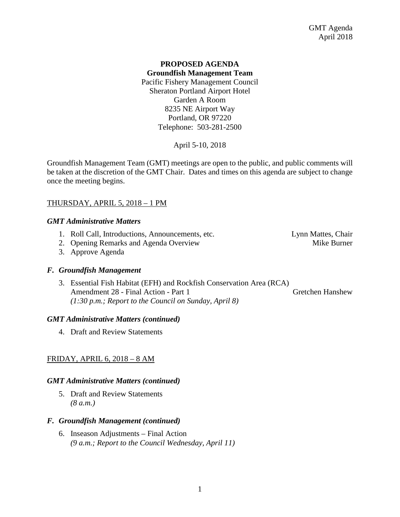# **PROPOSED AGENDA Groundfish Management Team** Pacific Fishery Management Council Sheraton Portland Airport Hotel Garden A Room 8235 NE Airport Way Portland, OR 97220 Telephone: 503-281-2500

April 5-10, 2018

Groundfish Management Team (GMT) meetings are open to the public, and public comments will be taken at the discretion of the GMT Chair. Dates and times on this agenda are subject to change once the meeting begins.

# THURSDAY, APRIL 5, 2018 – 1 PM

# *GMT Administrative Matters*

- 1. Roll Call, Introductions, Announcements, etc. Lynn Mattes, Chair
- 2. Opening Remarks and Agenda Overview Theorem and Mike Burner
- 3. Approve Agenda

# *F. Groundfish Management*

3. Essential Fish Habitat (EFH) and Rockfish Conservation Area (RCA) Amendment 28 - Final Action - Part 1 Gretchen Hanshew *(1:30 p.m.; Report to the Council on Sunday, April 8)*

# *GMT Administrative Matters (continued)*

4. Draft and Review Statements

# FRIDAY, APRIL 6, 2018 – 8 AM

# *GMT Administrative Matters (continued)*

5. Draft and Review Statements *(8 a.m.)*

# *F. Groundfish Management (continued)*

6. Inseason Adjustments – Final Action *(9 a.m.; Report to the Council Wednesday, April 11)*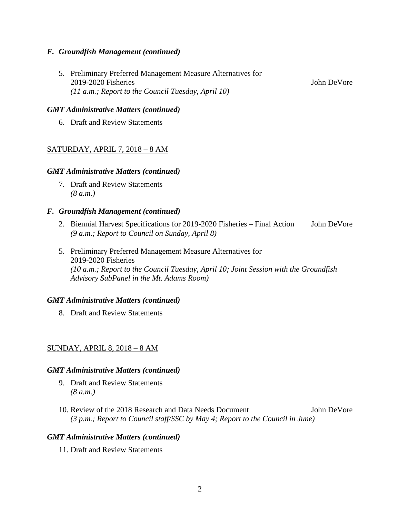# *F. Groundfish Management (continued)*

5. Preliminary Preferred Management Measure Alternatives for 2019-2020 Fisheries John DeVore *(11 a.m.; Report to the Council Tuesday, April 10)*

### *GMT Administrative Matters (continued)*

6. Draft and Review Statements

# SATURDAY, APRIL 7, 2018 – 8 AM

#### *GMT Administrative Matters (continued)*

7. Draft and Review Statements *(8 a.m.)*

### *F. Groundfish Management (continued)*

- 2. Biennial Harvest Specifications for 2019-2020 Fisheries Final Action John DeVore *(9 a.m.; Report to Council on Sunday, April 8)*
- 5. Preliminary Preferred Management Measure Alternatives for 2019-2020 Fisheries *(10 a.m.; Report to the Council Tuesday, April 10; Joint Session with the Groundfish Advisory SubPanel in the Mt. Adams Room)*

#### *GMT Administrative Matters (continued)*

8. Draft and Review Statements

### SUNDAY, APRIL 8, 2018 – 8 AM

#### *GMT Administrative Matters (continued)*

- 9. Draft and Review Statements *(8 a.m.)*
- 10. Review of the 2018 Research and Data Needs Document John DeVore *(3 p.m.; Report to Council staff/SSC by May 4; Report to the Council in June)*

#### *GMT Administrative Matters (continued)*

11. Draft and Review Statements